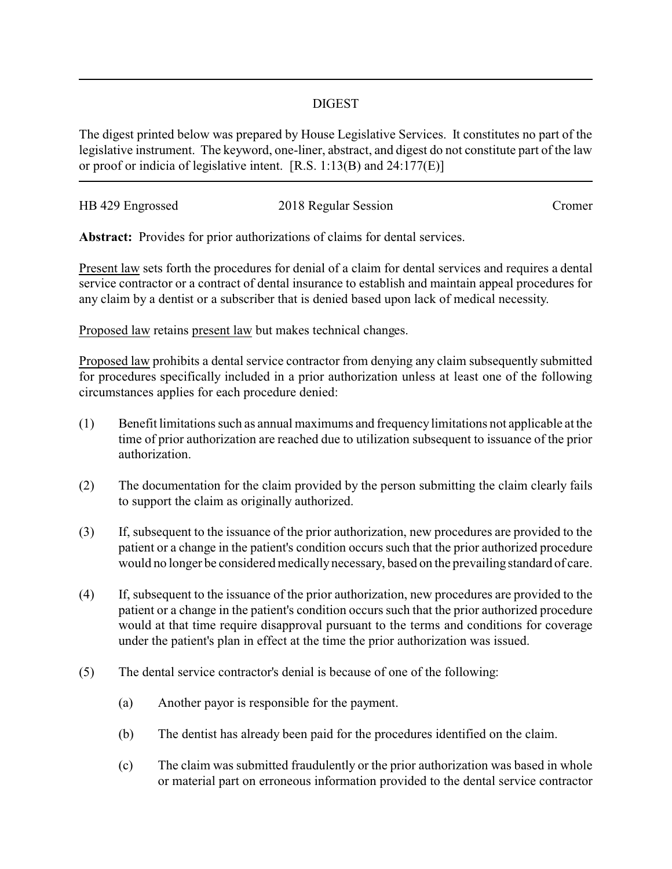## DIGEST

The digest printed below was prepared by House Legislative Services. It constitutes no part of the legislative instrument. The keyword, one-liner, abstract, and digest do not constitute part of the law or proof or indicia of legislative intent. [R.S. 1:13(B) and 24:177(E)]

| HB 429 Engrossed | 2018 Regular Session | Cromer |
|------------------|----------------------|--------|
|                  |                      |        |

**Abstract:** Provides for prior authorizations of claims for dental services.

Present law sets forth the procedures for denial of a claim for dental services and requires a dental service contractor or a contract of dental insurance to establish and maintain appeal procedures for any claim by a dentist or a subscriber that is denied based upon lack of medical necessity.

Proposed law retains present law but makes technical changes.

Proposed law prohibits a dental service contractor from denying any claim subsequently submitted for procedures specifically included in a prior authorization unless at least one of the following circumstances applies for each procedure denied:

- (1) Benefit limitations such as annual maximums and frequencylimitations not applicable at the time of prior authorization are reached due to utilization subsequent to issuance of the prior authorization.
- (2) The documentation for the claim provided by the person submitting the claim clearly fails to support the claim as originally authorized.
- (3) If, subsequent to the issuance of the prior authorization, new procedures are provided to the patient or a change in the patient's condition occurs such that the prior authorized procedure would no longer be considered medically necessary, based on the prevailing standard of care.
- (4) If, subsequent to the issuance of the prior authorization, new procedures are provided to the patient or a change in the patient's condition occurs such that the prior authorized procedure would at that time require disapproval pursuant to the terms and conditions for coverage under the patient's plan in effect at the time the prior authorization was issued.
- (5) The dental service contractor's denial is because of one of the following:
	- (a) Another payor is responsible for the payment.
	- (b) The dentist has already been paid for the procedures identified on the claim.
	- (c) The claim was submitted fraudulently or the prior authorization was based in whole or material part on erroneous information provided to the dental service contractor